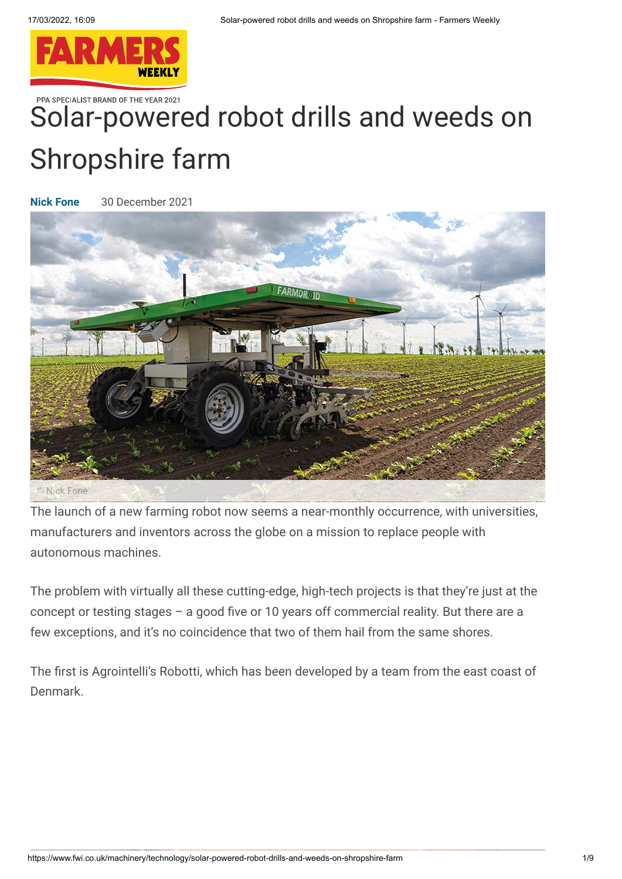

PPA SPECIALIST BRAND OF THE YEAR 2021

# [Solar-powere](https://www.fwi.co.uk/)d robot drills and weeds on Shropshire farm

**[Nick Fone](https://www.fwi.co.uk/author/nick-fone)** 30 December 2021



The launch of a new farming robot now seems a near-monthly occurrence, with universities, manufacturers and inventors across the globe on a mission to replace people with autonomous machines.

The problem with virtually all these cutting-edge, high-tech projects is that they're just at the concept or testing stages – a good five or 10 years off commercial reality. But there are a few exceptions, and it's no coincidence that two of them hail from the same shores.

The first is Agrointelli's Robotti, which has been developed by a team from the east coast of Denmark.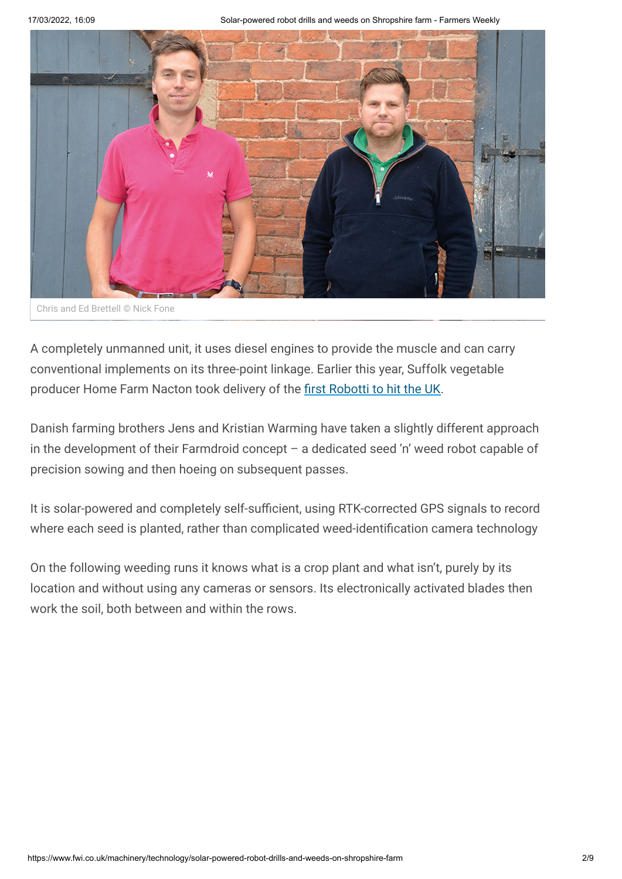

Chris and Ed Brettell © Nick Fone

A completely unmanned unit, it uses diesel engines to provide the muscle and can carry conventional implements on its three-point linkage. Earlier this year, Suffolk vegetable producer Home Farm Nacton took delivery of the [first Robotti to hit the UK.](https://www.fwi.co.uk/machinery/technology/video-revolutionary-driverless-robotti-sets-to-work-on-uk-soils)

Danish farming brothers Jens and Kristian Warming have taken a slightly different approach in the development of their Farmdroid concept – a dedicated seed 'n' weed robot capable of precision sowing and then hoeing on subsequent passes.

It is solar-powered and completely self-sufficient, using RTK-corrected GPS signals to record where each seed is planted, rather than complicated weed-identification camera technology

On the following weeding runs it knows what is a crop plant and what isn't, purely by its location and without using any cameras or sensors. Its electronically activated blades then work the soil, both between and within the rows.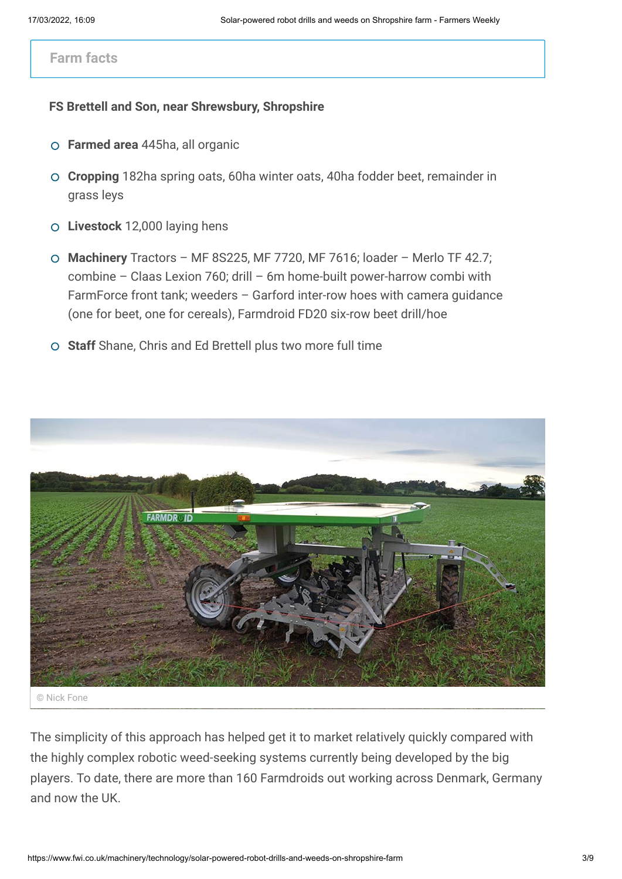#### **Farm facts**

#### **FS Brettell and Son, near Shrewsbury, Shropshire**

- **Farmed area** 445ha, all organic
- **Cropping** 182ha spring oats, 60ha winter oats, 40ha fodder beet, remainder in grass leys
- **Livestock** 12,000 laying hens
- **Machinery** Tractors MF 8S225, MF 7720, MF 7616; loader Merlo TF 42.7; combine – Claas Lexion 760; drill – 6m home-built power-harrow combi with FarmForce front tank; weeders – Garford inter-row hoes with camera guidance (one for beet, one for cereals), Farmdroid FD20 six-row beet drill/hoe
- **Staff** Shane, Chris and Ed Brettell plus two more full time



© Nick Fone

The simplicity of this approach has helped get it to market relatively quickly compared with the highly complex robotic weed-seeking systems currently being developed by the big players. To date, there are more than 160 Farmdroids out working across Denmark, Germany and now the UK.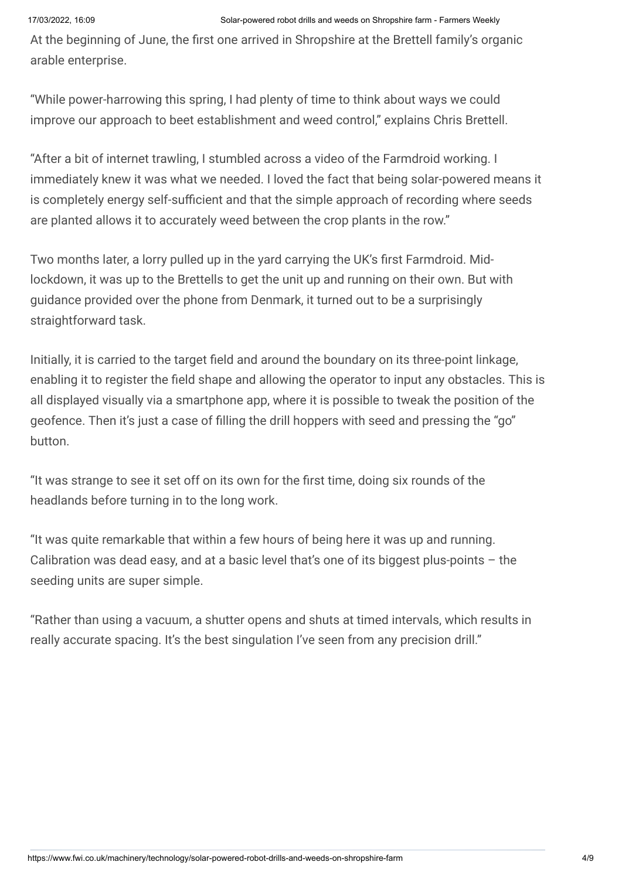At the beginning of June, the first one arrived in Shropshire at the Brettell family's organic arable enterprise.

"While power-harrowing this spring, I had plenty of time to think about ways we could improve our approach to beet establishment and weed control," explains Chris Brettell.

"After a bit of internet trawling, I stumbled across a video of the Farmdroid working. I immediately knew it was what we needed. I loved the fact that being solar-powered means it is completely energy self-sufficient and that the simple approach of recording where seeds are planted allows it to accurately weed between the crop plants in the row."

Two months later, a lorry pulled up in the yard carrying the UK's first Farmdroid. Midlockdown, it was up to the Brettells to get the unit up and running on their own. But with guidance provided over the phone from Denmark, it turned out to be a surprisingly straightforward task.

Initially, it is carried to the target field and around the boundary on its three-point linkage, enabling it to register the field shape and allowing the operator to input any obstacles. This is all displayed visually via a smartphone app, where it is possible to tweak the position of the geofence. Then it's just a case of filling the drill hoppers with seed and pressing the "go" button.

"It was strange to see it set off on its own for the first time, doing six rounds of the headlands before turning in to the long work.

"It was quite remarkable that within a few hours of being here it was up and running. Calibration was dead easy, and at a basic level that's one of its biggest plus-points  $-$  the seeding units are super simple.

"Rather than using a vacuum, a shutter opens and shuts at timed intervals, which results in really accurate spacing. It's the best singulation I've seen from any precision drill."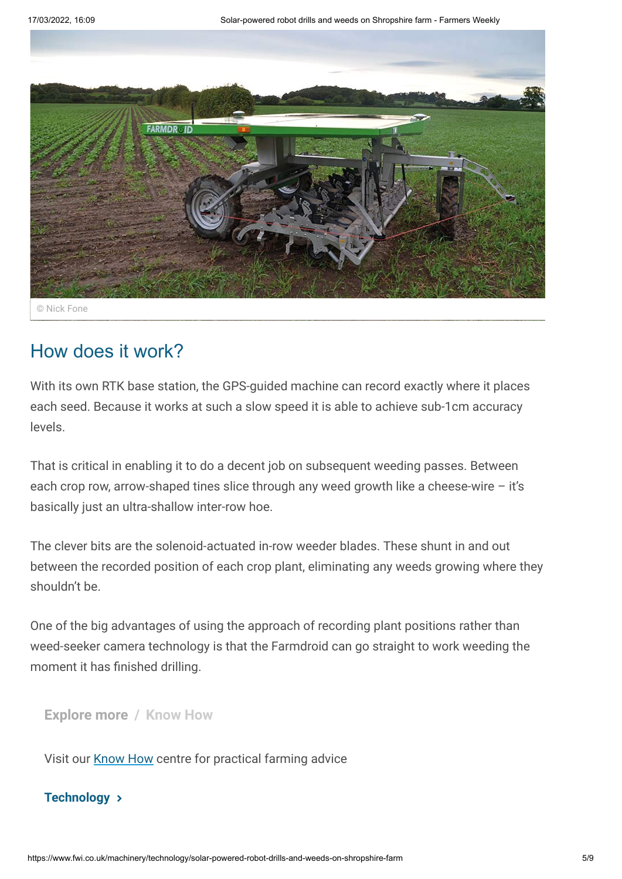

© Nick Fone

#### How does it work?

With its own RTK base station, the GPS-guided machine can record exactly where it places each seed. Because it works at such a slow speed it is able to achieve sub-1cm accuracy levels.

That is critical in enabling it to do a decent job on subsequent weeding passes. Between each crop row, arrow-shaped tines slice through any weed growth like a cheese-wire – it's basically just an ultra-shallow inter-row hoe.

The clever bits are the solenoid-actuated in-row weeder blades. These shunt in and out between the recorded position of each crop plant, eliminating any weeds growing where they shouldn't be.

One of the big advantages of using the approach of recording plant positions rather than weed-seeker camera technology is that the Farmdroid can go straight to work weeding the moment it has finished drilling.

**Explore more / Know How**

Visit our [Know How](https://www.fwi.co.uk/know-how) centre for practical farming advice

#### **[Technology](https://www.fwi.co.uk/machinery/technology)**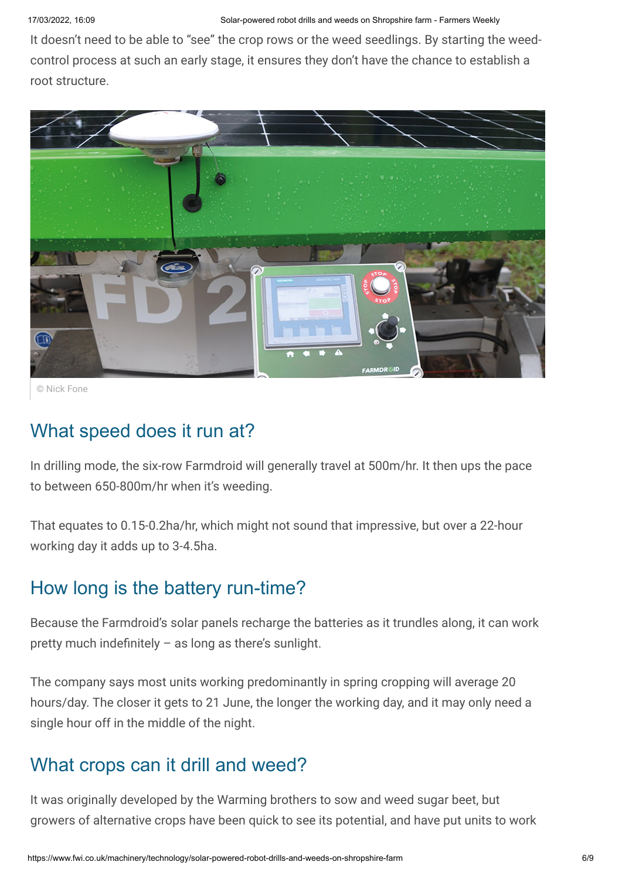It doesn't need to be able to "see" the crop rows or the weed seedlings. By starting the weedcontrol process at such an early stage, it ensures they don't have the chance to establish a root structure.



© Nick Fone

### What speed does it run at?

In drilling mode, the six-row Farmdroid will generally travel at 500m/hr. It then ups the pace to between 650-800m/hr when it's weeding.

That equates to 0.15-0.2ha/hr, which might not sound that impressive, but over a 22-hour working day it adds up to 3-4.5ha.

### How long is the battery run-time?

Because the Farmdroid's solar panels recharge the batteries as it trundles along, it can work pretty much indefinitely – as long as there's sunlight.

The company says most units working predominantly in spring cropping will average 20 hours/day. The closer it gets to 21 June, the longer the working day, and it may only need a single hour off in the middle of the night.

# What crops can it drill and weed?

It was originally developed by the Warming brothers to sow and weed sugar beet, but growers of alternative crops have been quick to see its potential, and have put units to work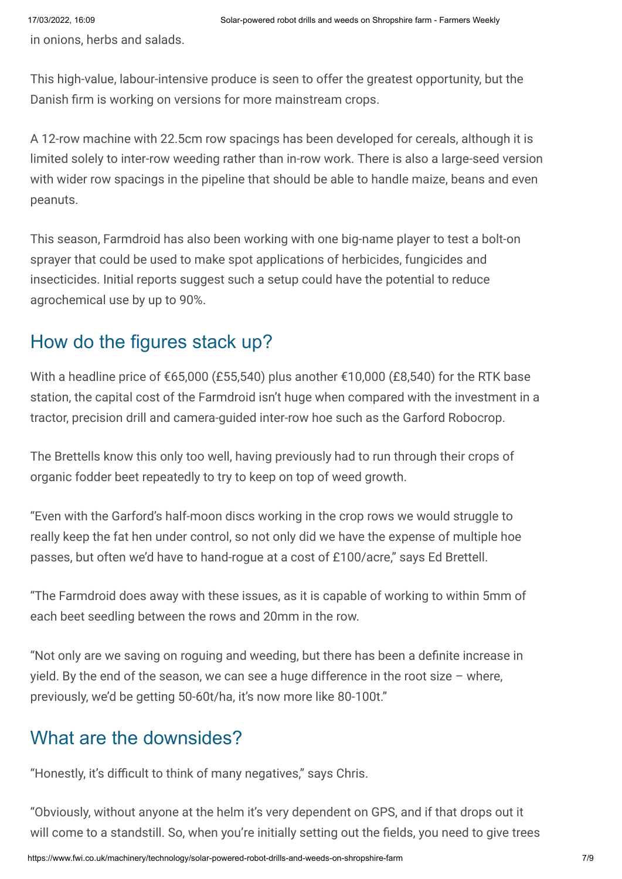in onions, herbs and salads.

This high-value, labour-intensive produce is seen to offer the greatest opportunity, but the Danish firm is working on versions for more mainstream crops.

A 12-row machine with 22.5cm row spacings has been developed for cereals, although it is limited solely to inter-row weeding rather than in-row work. There is also a large-seed version with wider row spacings in the pipeline that should be able to handle maize, beans and even peanuts.

This season, Farmdroid has also been working with one big-name player to test a bolt-on sprayer that could be used to make spot applications of herbicides, fungicides and insecticides. Initial reports suggest such a setup could have the potential to reduce agrochemical use by up to 90%.

# How do the figures stack up?

With a headline price of €65,000 (£55,540) plus another €10,000 (£8,540) for the RTK base station, the capital cost of the Farmdroid isn't huge when compared with the investment in a tractor, precision drill and camera-guided inter-row hoe such as the Garford Robocrop.

The Brettells know this only too well, having previously had to run through their crops of organic fodder beet repeatedly to try to keep on top of weed growth.

"Even with the Garford's half-moon discs working in the crop rows we would struggle to really keep the fat hen under control, so not only did we have the expense of multiple hoe passes, but often we'd have to hand-rogue at a cost of £100/acre," says Ed Brettell.

"The Farmdroid does away with these issues, as it is capable of working to within 5mm of each beet seedling between the rows and 20mm in the row.

"Not only are we saving on roguing and weeding, but there has been a definite increase in yield. By the end of the season, we can see a huge difference in the root size  $-$  where, previously, we'd be getting 50-60t/ha, it's now more like 80-100t."

# What are the downsides?

"Honestly, it's difficult to think of many negatives," says Chris.

"Obviously, without anyone at the helm it's very dependent on GPS, and if that drops out it will come to a standstill. So, when you're initially setting out the fields, you need to give trees